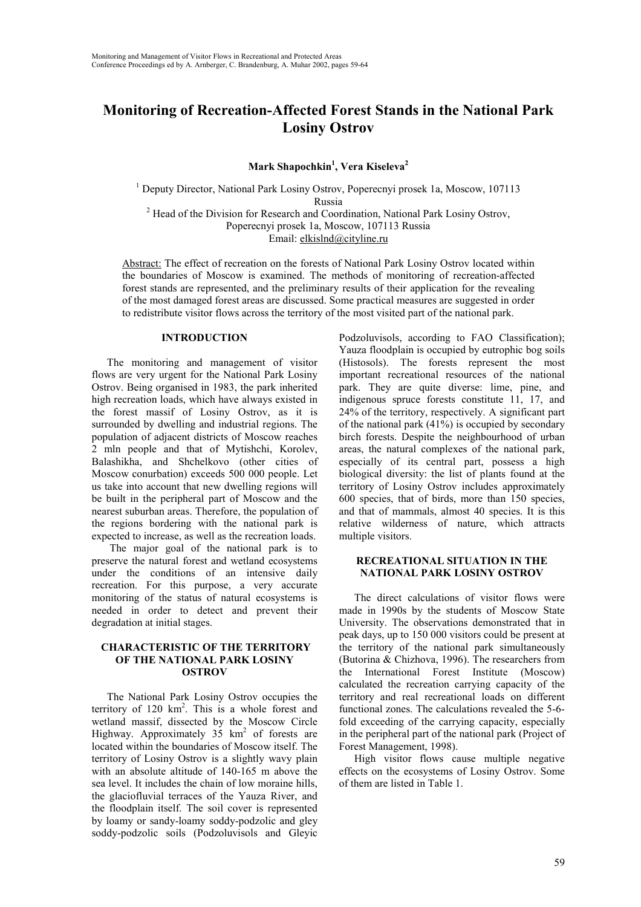# **Monitoring of Recreation-Affected Forest Stands in the National Park Losiny Ostrov**

**Mark Shapochkin1 , Vera Kiseleva<sup>2</sup>**

<sup>1</sup> Deputy Director, National Park Losiny Ostrov, Poperecnyi prosek 1a, Moscow, 107113 Russia<br><sup>2</sup> Head of the Division for Research and Coordination, National Park Losiny Ostrov, Poperecnyi prosek 1a, Moscow, 107113 Russia Email: elkislnd@cityline.ru

Abstract: The effect of recreation on the forests of National Park Losiny Ostrov located within the boundaries of Moscow is examined. The methods of monitoring of recreation-affected forest stands are represented, and the preliminary results of their application for the revealing of the most damaged forest areas are discussed. Some practical measures are suggested in order to redistribute visitor flows across the territory of the most visited part of the national park.

#### **INTRODUCTION**

The monitoring and management of visitor flows are very urgent for the National Park Losiny Ostrov. Being organised in 1983, the park inherited high recreation loads, which have always existed in the forest massif of Losiny Ostrov, as it is surrounded by dwelling and industrial regions. The population of adjacent districts of Moscow reaches 2 mln people and that of Mytishchi, Korolev, Balashikha, and Shchelkovo (other cities of Moscow conurbation) exceeds 500 000 people. Let us take into account that new dwelling regions will be built in the peripheral part of Moscow and the nearest suburban areas. Therefore, the population of the regions bordering with the national park is expected to increase, as well as the recreation loads.

 The major goal of the national park is to preserve the natural forest and wetland ecosystems under the conditions of an intensive daily recreation. For this purpose, a very accurate monitoring of the status of natural ecosystems is needed in order to detect and prevent their degradation at initial stages.

### **CHARACTERISTIC OF THE TERRITORY OF THE NATIONAL PARK LOSINY OSTROV**

The National Park Losiny Ostrov occupies the territory of  $120 \text{ km}^2$ . This is a whole forest and wetland massif, dissected by the Moscow Circle Highway. Approximately  $35 \text{ km}^2$  of forests are located within the boundaries of Moscow itself. The territory of Losiny Ostrov is a slightly wavy plain with an absolute altitude of 140-165 m above the sea level. It includes the chain of low moraine hills, the glaciofluvial terraces of the Yauza River, and the floodplain itself. The soil cover is represented by loamy or sandy-loamy soddy-podzolic and gley soddy-podzolic soils (Podzoluvisols and Gleyic

Podzoluvisols, according to FAO Classification); Yauza floodplain is occupied by eutrophic bog soils (Histosols). The forests represent the most important recreational resources of the national park. They are quite diverse: lime, pine, and indigenous spruce forests constitute 11, 17, and 24% of the territory, respectively. A significant part of the national park (41%) is occupied by secondary birch forests. Despite the neighbourhood of urban areas, the natural complexes of the national park, especially of its central part, possess a high biological diversity: the list of plants found at the territory of Losiny Ostrov includes approximately 600 species, that of birds, more than 150 species, and that of mammals, almost 40 species. It is this relative wilderness of nature, which attracts multiple visitors.

### **RECREATIONAL SITUATION IN THE NATIONAL PARK LOSINY OSTROV**

The direct calculations of visitor flows were made in 1990s by the students of Moscow State University. The observations demonstrated that in peak days, up to 150 000 visitors could be present at the territory of the national park simultaneously (Butorina & Chizhova, 1996). The researchers from the International Forest Institute (Moscow) calculated the recreation carrying capacity of the territory and real recreational loads on different functional zones. The calculations revealed the 5-6 fold exceeding of the carrying capacity, especially in the peripheral part of the national park (Project of Forest Management, 1998).

High visitor flows cause multiple negative effects on the ecosystems of Losiny Ostrov. Some of them are listed in Table 1.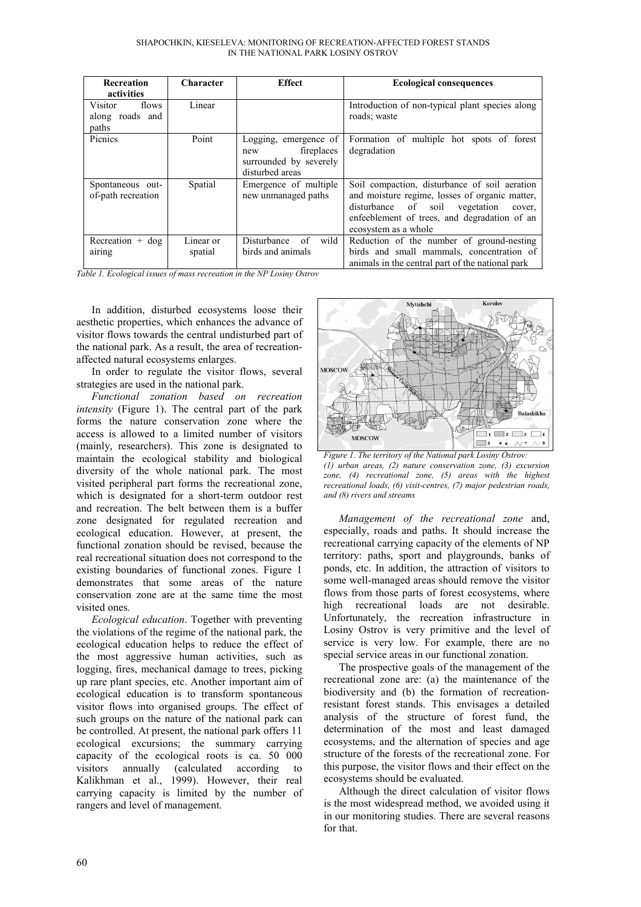| Recreation         | Character | <b>Effect</b>             | <b>Ecological consequences</b>                   |
|--------------------|-----------|---------------------------|--------------------------------------------------|
| activities         |           |                           |                                                  |
| Visitor<br>flows   | Linear    |                           | Introduction of non-typical plant species along  |
| along roads and    |           |                           | roads; waste                                     |
| paths              |           |                           |                                                  |
| Picnics            | Point     | Logging, emergence of     | Formation of multiple hot spots of forest        |
|                    |           | fireplaces<br>new         | degradation                                      |
|                    |           | surrounded by severely    |                                                  |
|                    |           | disturbed areas           |                                                  |
| Spontaneous out-   | Spatial   | Emergence of multiple     | Soil compaction, disturbance of soil aeration    |
| of-path recreation |           | new unmanaged paths       | and moisture regime, losses of organic matter,   |
|                    |           |                           | disturbance of<br>soil vegetation<br>cover,      |
|                    |           |                           | enfeeblement of trees, and degradation of an     |
|                    |           |                           | ecosystem as a whole                             |
| Recreation $+$ dog | Linear or | Disturbance<br>wild<br>of | Reduction of the number of ground-nesting        |
| airing             | spatial   | birds and animals         | birds and small mammals, concentration of        |
|                    |           |                           | animals in the central part of the national park |

*Table 1. Ecological issues of mass recreation in the NP Losiny Ostrov*

In addition, disturbed ecosystems loose their aesthetic properties, which enhances the advance of visitor flows towards the central undisturbed part of the national park. As a result, the area of recreationaffected natural ecosystems enlarges.

In order to regulate the visitor flows, several strategies are used in the national park.

*Functional zonation based on recreation intensity* (Figure 1). The central part of the park forms the nature conservation zone where the access is allowed to a limited number of visitors (mainly, researchers). This zone is designated to maintain the ecological stability and biological diversity of the whole national park. The most visited peripheral part forms the recreational zone, which is designated for a short-term outdoor rest and recreation. The belt between them is a buffer zone designated for regulated recreation and ecological education. However, at present, the functional zonation should be revised, because the real recreational situation does not correspond to the existing boundaries of functional zones. Figure 1 demonstrates that some areas of the nature conservation zone are at the same time the most visited ones.

*Ecological education*. Together with preventing the violations of the regime of the national park, the ecological education helps to reduce the effect of the most aggressive human activities, such as logging, fires, mechanical damage to trees, picking up rare plant species, etc. Another important aim of ecological education is to transform spontaneous visitor flows into organised groups. The effect of such groups on the nature of the national park can be controlled. At present, the national park offers 11 ecological excursions; the summary carrying capacity of the ecological roots is ca. 50 000 visitors annually (calculated according to Kalikhman et al., 1999). However, their real carrying capacity is limited by the number of rangers and level of management.



*Figure 1. The territory of the National park Losiny Ostrov: (1) urban areas, (2) nature conservation zone, (3) excursion zone, (4) recreational zone, (5) areas with the highest recreational loads, (6) visit-centres, (7) major pedestrian roads, and (8) rivers and streams*

*Management of the recreational zone* and, especially, roads and paths. It should increase the recreational carrying capacity of the elements of NP territory: paths, sport and playgrounds, banks of ponds, etc. In addition, the attraction of visitors to some well-managed areas should remove the visitor flows from those parts of forest ecosystems, where high recreational loads are not desirable. Unfortunately, the recreation infrastructure in Losiny Ostrov is very primitive and the level of service is very low. For example, there are no special service areas in our functional zonation.

The prospective goals of the management of the recreational zone are: (a) the maintenance of the biodiversity and (b) the formation of recreationresistant forest stands. This envisages a detailed analysis of the structure of forest fund, the determination of the most and least damaged ecosystems, and the alternation of species and age structure of the forests of the recreational zone. For this purpose, the visitor flows and their effect on the ecosystems should be evaluated.

Although the direct calculation of visitor flows is the most widespread method, we avoided using it in our monitoring studies. There are several reasons for that.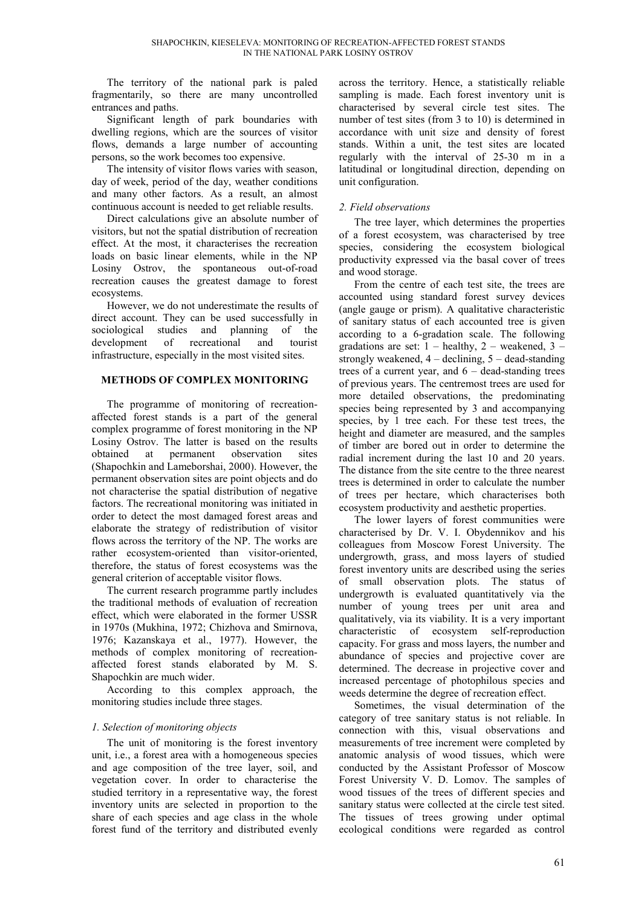The territory of the national park is paled fragmentarily, so there are many uncontrolled entrances and paths.

Significant length of park boundaries with dwelling regions, which are the sources of visitor flows, demands a large number of accounting persons, so the work becomes too expensive.

The intensity of visitor flows varies with season, day of week, period of the day, weather conditions and many other factors. As a result, an almost continuous account is needed to get reliable results.

Direct calculations give an absolute number of visitors, but not the spatial distribution of recreation effect. At the most, it characterises the recreation loads on basic linear elements, while in the NP Losiny Ostrov, the spontaneous out-of-road recreation causes the greatest damage to forest ecosystems.

However, we do not underestimate the results of direct account. They can be used successfully in sociological studies and planning of the development of recreational and tourist infrastructure, especially in the most visited sites.

### **METHODS OF COMPLEX MONITORING**

The programme of monitoring of recreationaffected forest stands is a part of the general complex programme of forest monitoring in the NP Losiny Ostrov. The latter is based on the results obtained at permanent observation sites (Shapochkin and Lameborshai, 2000). However, the permanent observation sites are point objects and do not characterise the spatial distribution of negative factors. The recreational monitoring was initiated in order to detect the most damaged forest areas and elaborate the strategy of redistribution of visitor flows across the territory of the NP. The works are rather ecosystem-oriented than visitor-oriented, therefore, the status of forest ecosystems was the general criterion of acceptable visitor flows.

The current research programme partly includes the traditional methods of evaluation of recreation effect, which were elaborated in the former USSR in 1970s (Mukhina, 1972; Chizhova and Smirnova, 1976; Kazanskaya et al., 1977). However, the methods of complex monitoring of recreationaffected forest stands elaborated by M. S. Shapochkin are much wider.

According to this complex approach, the monitoring studies include three stages.

# *1. Selection of monitoring objects*

The unit of monitoring is the forest inventory unit, i.e., a forest area with a homogeneous species and age composition of the tree layer, soil, and vegetation cover. In order to characterise the studied territory in a representative way, the forest inventory units are selected in proportion to the share of each species and age class in the whole forest fund of the territory and distributed evenly across the territory. Hence, a statistically reliable sampling is made. Each forest inventory unit is characterised by several circle test sites. The number of test sites (from 3 to 10) is determined in accordance with unit size and density of forest stands. Within a unit, the test sites are located regularly with the interval of 25-30 m in a latitudinal or longitudinal direction, depending on unit configuration.

# *2. Field observations*

The tree layer, which determines the properties of a forest ecosystem, was characterised by tree species, considering the ecosystem biological productivity expressed via the basal cover of trees and wood storage.

From the centre of each test site, the trees are accounted using standard forest survey devices (angle gauge or prism). A qualitative characteristic of sanitary status of each accounted tree is given according to a 6-gradation scale. The following gradations are set:  $1 -$  healthy,  $2 -$  weakened,  $3$ strongly weakened,  $4 - \text{declining}$ ,  $5 - \text{dead-standing}$ trees of a current year, and  $6 -$  dead-standing trees of previous years. The centremost trees are used for more detailed observations, the predominating species being represented by 3 and accompanying species, by 1 tree each. For these test trees, the height and diameter are measured, and the samples of timber are bored out in order to determine the radial increment during the last 10 and 20 years. The distance from the site centre to the three nearest trees is determined in order to calculate the number of trees per hectare, which characterises both ecosystem productivity and aesthetic properties.

The lower layers of forest communities were characterised by Dr. V. I. Obydennikov and his colleagues from Moscow Forest University. The undergrowth, grass, and moss layers of studied forest inventory units are described using the series of small observation plots. The status of undergrowth is evaluated quantitatively via the number of young trees per unit area and qualitatively, via its viability. It is a very important characteristic of ecosystem self-reproduction capacity. For grass and moss layers, the number and abundance of species and projective cover are determined. The decrease in projective cover and increased percentage of photophilous species and weeds determine the degree of recreation effect.

Sometimes, the visual determination of the category of tree sanitary status is not reliable. In connection with this, visual observations and measurements of tree increment were completed by anatomic analysis of wood tissues, which were conducted by the Assistant Professor of Moscow Forest University V. D. Lomov. The samples of wood tissues of the trees of different species and sanitary status were collected at the circle test sited. The tissues of trees growing under optimal ecological conditions were regarded as control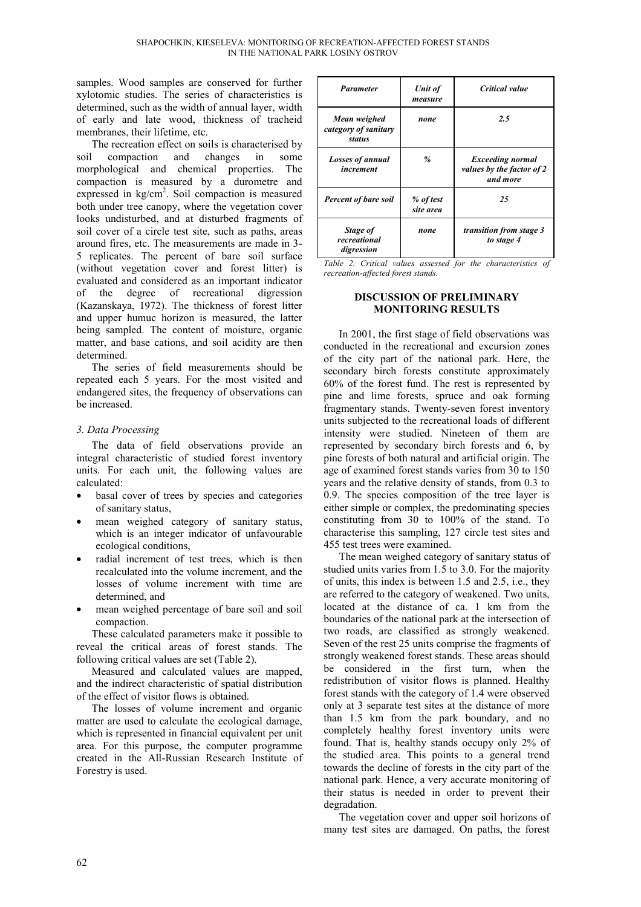samples. Wood samples are conserved for further xylotomic studies. The series of characteristics is determined, such as the width of annual layer, width of early and late wood, thickness of tracheid membranes, their lifetime, etc.

The recreation effect on soils is characterised by soil compaction and changes in some morphological and chemical properties. The compaction is measured by a durometre and expressed in  $\text{kg/cm}^2$ . Soil compaction is measured both under tree canopy, where the vegetation cover looks undisturbed, and at disturbed fragments of soil cover of a circle test site, such as paths, areas around fires, etc. The measurements are made in 3- 5 replicates. The percent of bare soil surface (without vegetation cover and forest litter) is evaluated and considered as an important indicator of the degree of recreational digression (Kazanskaya, 1972). The thickness of forest litter and upper humuc horizon is measured, the latter being sampled. The content of moisture, organic matter, and base cations, and soil acidity are then determined.

The series of field measurements should be repeated each 5 years. For the most visited and endangered sites, the frequency of observations can be increased.

### *3. Data Processing*

The data of field observations provide an integral characteristic of studied forest inventory units. For each unit, the following values are calculated:

- basal cover of trees by species and categories of sanitary status,
- mean weighed category of sanitary status, which is an integer indicator of unfavourable ecological conditions,
- radial increment of test trees, which is then recalculated into the volume increment, and the losses of volume increment with time are determined, and
- mean weighed percentage of bare soil and soil compaction.

These calculated parameters make it possible to reveal the critical areas of forest stands. The following critical values are set (Table 2).

Measured and calculated values are mapped, and the indirect characteristic of spatial distribution of the effect of visitor flows is obtained.

The losses of volume increment and organic matter are used to calculate the ecological damage, which is represented in financial equivalent per unit area. For this purpose, the computer programme created in the All-Russian Research Institute of Forestry is used.

| <b>Parameter</b>                               | Unit of<br>measure     | Critical value                                                   |
|------------------------------------------------|------------------------|------------------------------------------------------------------|
| Mean weighed<br>category of sanitary<br>status | none                   | 2.5                                                              |
| <b>Losses of annual</b><br>increment           | $\%$                   | <b>Exceeding normal</b><br>values by the factor of 2<br>and more |
| <b>Percent of bare soil</b>                    | % of test<br>site area | 25                                                               |
| Stage of<br>recreational<br>digression         | none                   | transition from stage 3<br>to stage 4                            |

*Table 2. Critical values assessed for the characteristics of recreation-affected forest stands.*

### **DISCUSSION OF PRELIMINARY MONITORING RESULTS**

In 2001, the first stage of field observations was conducted in the recreational and excursion zones of the city part of the national park. Here, the secondary birch forests constitute approximately 60% of the forest fund. The rest is represented by pine and lime forests, spruce and oak forming fragmentary stands. Twenty-seven forest inventory units subjected to the recreational loads of different intensity were studied. Nineteen of them are represented by secondary birch forests and 6, by pine forests of both natural and artificial origin. The age of examined forest stands varies from 30 to 150 years and the relative density of stands, from 0.3 to 0.9. The species composition of the tree layer is either simple or complex, the predominating species constituting from 30 to 100% of the stand. To characterise this sampling, 127 circle test sites and 455 test trees were examined.

The mean weighed category of sanitary status of studied units varies from 1.5 to 3.0. For the majority of units, this index is between 1.5 and 2.5, i.e., they are referred to the category of weakened. Two units, located at the distance of ca. 1 km from the boundaries of the national park at the intersection of two roads, are classified as strongly weakened. Seven of the rest 25 units comprise the fragments of strongly weakened forest stands. These areas should be considered in the first turn, when the redistribution of visitor flows is planned. Healthy forest stands with the category of 1.4 were observed only at 3 separate test sites at the distance of more than 1.5 km from the park boundary, and no completely healthy forest inventory units were found. That is, healthy stands occupy only 2% of the studied area. This points to a general trend towards the decline of forests in the city part of the national park. Hence, a very accurate monitoring of their status is needed in order to prevent their degradation.

The vegetation cover and upper soil horizons of many test sites are damaged. On paths, the forest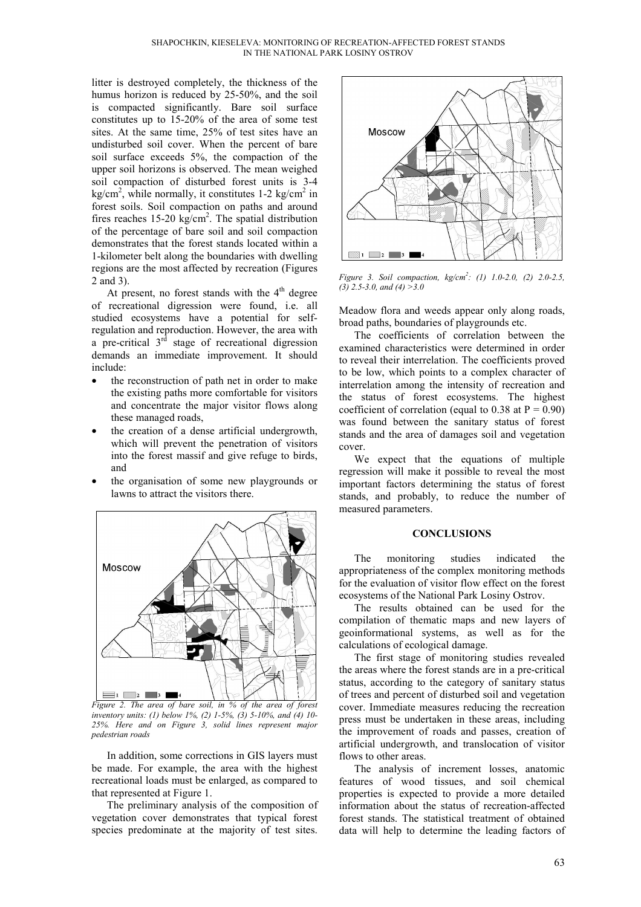litter is destroyed completely, the thickness of the humus horizon is reduced by 25-50%, and the soil is compacted significantly. Bare soil surface constitutes up to 15-20% of the area of some test sites. At the same time, 25% of test sites have an undisturbed soil cover. When the percent of bare soil surface exceeds 5%, the compaction of the upper soil horizons is observed. The mean weighed soil compaction of disturbed forest units is 3-4  $\text{kg/cm}^2$ , while normally, it constitutes 1-2 kg/cm<sup>2</sup> in forest soils. Soil compaction on paths and around fires reaches  $15{\text -}20 \text{ kg/cm}^2$ . The spatial distribution of the percentage of bare soil and soil compaction demonstrates that the forest stands located within a 1-kilometer belt along the boundaries with dwelling regions are the most affected by recreation (Figures 2 and 3).

At present, no forest stands with the  $4<sup>th</sup>$  degree of recreational digression were found, i.e. all studied ecosystems have a potential for selfregulation and reproduction. However, the area with a pre-critical  $3<sup>rd</sup>$  stage of recreational digression demands an immediate improvement. It should include:

- the reconstruction of path net in order to make the existing paths more comfortable for visitors and concentrate the major visitor flows along these managed roads,
- the creation of a dense artificial undergrowth, which will prevent the penetration of visitors into the forest massif and give refuge to birds, and
- the organisation of some new playgrounds or lawns to attract the visitors there.



*Figure 2. The area of bare soil, in % of the area of forest inventory units: (1) below 1%, (2) 1-5%, (3) 5-10%, and (4) 10- 25%. Here and on Figure 3, solid lines represent major pedestrian roads*

In addition, some corrections in GIS layers must be made. For example, the area with the highest recreational loads must be enlarged, as compared to that represented at Figure 1.

The preliminary analysis of the composition of vegetation cover demonstrates that typical forest species predominate at the majority of test sites.



*Figure 3. Soil compaction, kg/cm2 : (1) 1.0-2.0, (2) 2.0-2.5, (3) 2.5-3.0, and (4) >3.0*

Meadow flora and weeds appear only along roads, broad paths, boundaries of playgrounds etc.

The coefficients of correlation between the examined characteristics were determined in order to reveal their interrelation. The coefficients proved to be low, which points to a complex character of interrelation among the intensity of recreation and the status of forest ecosystems. The highest coefficient of correlation (equal to 0.38 at  $P = 0.90$ ) was found between the sanitary status of forest stands and the area of damages soil and vegetation cover.

We expect that the equations of multiple regression will make it possible to reveal the most important factors determining the status of forest stands, and probably, to reduce the number of measured parameters.

### **CONCLUSIONS**

The monitoring studies indicated the appropriateness of the complex monitoring methods for the evaluation of visitor flow effect on the forest ecosystems of the National Park Losiny Ostrov.

The results obtained can be used for the compilation of thematic maps and new layers of geoinformational systems, as well as for the calculations of ecological damage.

The first stage of monitoring studies revealed the areas where the forest stands are in a pre-critical status, according to the category of sanitary status of trees and percent of disturbed soil and vegetation cover. Immediate measures reducing the recreation press must be undertaken in these areas, including the improvement of roads and passes, creation of artificial undergrowth, and translocation of visitor flows to other areas.

The analysis of increment losses, anatomic features of wood tissues, and soil chemical properties is expected to provide a more detailed information about the status of recreation-affected forest stands. The statistical treatment of obtained data will help to determine the leading factors of